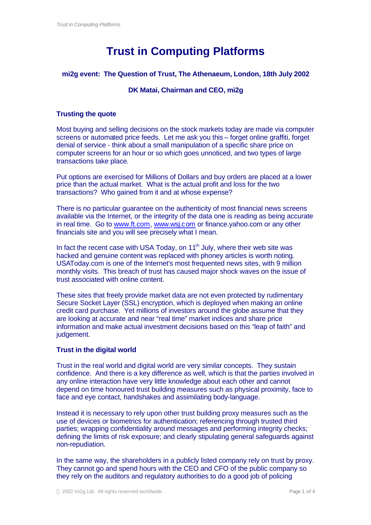# **Trust in Computing Platforms**

# **mi2g event: The Question of Trust, The Athenaeum, London, 18th July 2002**

# **DK Matai, Chairman and CEO, mi2g**

## **Trusting the quote**

Most buying and selling decisions on the stock markets today are made via computer screens or automated price feeds. Let me ask you this – forget online graffiti, forget denial of service - think about a small manipulation of a specific share price on computer screens for an hour or so which goes unnoticed, and two types of large transactions take place.

Put options are exercised for Millions of Dollars and buy orders are placed at a lower price than the actual market. What is the actual profit and loss for the two transactions? Who gained from it and at whose expense?

There is no particular guarantee on the authenticity of most financial news screens available via the Internet, or the integrity of the data one is reading as being accurate in real time. Go to www.ft.com, www.wsj.com or finance.yahoo.com or any other financials site and you will see precisely what I mean.

In fact the recent case with USA Today, on  $11<sup>th</sup>$  July, where their web site was hacked and genuine content was replaced with phoney articles is worth noting. USAToday.com is one of the Internet's most frequented news sites, with 9 million monthly visits. This breach of trust has caused major shock waves on the issue of trust associated with online content.

These sites that freely provide market data are not even protected by rudimentary Secure Socket Layer (SSL) encryption, which is deployed when making an online credit card purchase. Yet millions of investors around the globe assume that they are looking at accurate and near "real time" market indices and share price information and make actual investment decisions based on this "leap of faith" and judgement.

# **Trust in the digital world**

Trust in the real world and digital world are very similar concepts. They sustain confidence. And there is a key difference as well, which is that the parties involved in any online interaction have very little knowledge about each other and cannot depend on time honoured trust building measures such as physical proximity, face to face and eye contact, handshakes and assimilating body-language.

Instead it is necessary to rely upon other trust building proxy measures such as the use of devices or biometrics for authentication; referencing through trusted third parties; wrapping confidentiality around messages and performing integrity checks; defining the limits of risk exposure; and clearly stipulating general safeguards against non-repudiation.

In the same way, the shareholders in a publicly listed company rely on trust by proxy. They cannot go and spend hours with the CEO and CFO of the public company so they rely on the auditors and regulatory authorities to do a good job of policing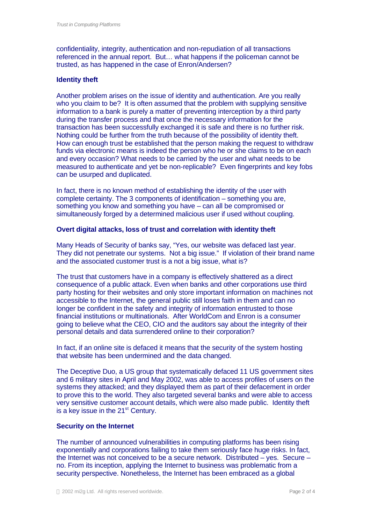confidentiality, integrity, authentication and non-repudiation of all transactions referenced in the annual report. But… what happens if the policeman cannot be trusted, as has happened in the case of Enron/Andersen?

#### **Identity theft**

Another problem arises on the issue of identity and authentication. Are you really who you claim to be? It is often assumed that the problem with supplying sensitive information to a bank is purely a matter of preventing interception by a third party during the transfer process and that once the necessary information for the transaction has been successfully exchanged it is safe and there is no further risk. Nothing could be further from the truth because of the possibility of identity theft. How can enough trust be established that the person making the request to withdraw funds via electronic means is indeed the person who he or she claims to be on each and every occasion? What needs to be carried by the user and what needs to be measured to authenticate and yet be non-replicable? Even fingerprints and key fobs can be usurped and duplicated.

In fact, there is no known method of establishing the identity of the user with complete certainty. The 3 components of identification – something you are, something you know and something you have – can all be compromised or simultaneously forged by a determined malicious user if used without coupling.

## **Overt digital attacks, loss of trust and correlation with identity theft**

Many Heads of Security of banks say, "Yes, our website was defaced last year. They did not penetrate our systems. Not a big issue." If violation of their brand name and the associated customer trust is a not a big issue, what is?

The trust that customers have in a company is effectively shattered as a direct consequence of a public attack. Even when banks and other corporations use third party hosting for their websites and only store important information on machines not accessible to the Internet, the general public still loses faith in them and can no longer be confident in the safety and integrity of information entrusted to those financial institutions or multinationals. After WorldCom and Enron is a consumer going to believe what the CEO, CIO and the auditors say about the integrity of their personal details and data surrendered online to their corporation?

In fact, if an online site is defaced it means that the security of the system hosting that website has been undermined and the data changed.

The Deceptive Duo, a US group that systematically defaced 11 US government sites and 6 military sites in April and May 2002, was able to access profiles of users on the systems they attacked; and they displayed them as part of their defacement in order to prove this to the world. They also targeted several banks and were able to access very sensitive customer account details, which were also made public. Identity theft is a key issue in the  $21<sup>st</sup>$  Century.

#### **Security on the Internet**

The number of announced vulnerabilities in computing platforms has been rising exponentially and corporations failing to take them seriously face huge risks. In fact, the Internet was not conceived to be a secure network. Distributed – yes. Secure – no. From its inception, applying the Internet to business was problematic from a security perspective. Nonetheless, the Internet has been embraced as a global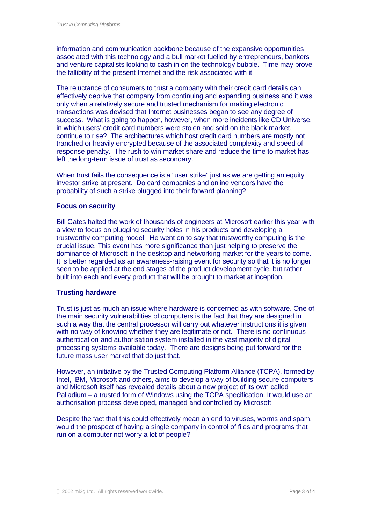information and communication backbone because of the expansive opportunities associated with this technology and a bull market fuelled by entrepreneurs, bankers and venture capitalists looking to cash in on the technology bubble. Time may prove the fallibility of the present Internet and the risk associated with it.

The reluctance of consumers to trust a company with their credit card details can effectively deprive that company from continuing and expanding business and it was only when a relatively secure and trusted mechanism for making electronic transactions was devised that Internet businesses began to see any degree of success. What is going to happen, however, when more incidents like CD Universe, in which users' credit card numbers were stolen and sold on the black market, continue to rise? The architectures which host credit card numbers are mostly not tranched or heavily encrypted because of the associated complexity and speed of response penalty. The rush to win market share and reduce the time to market has left the long-term issue of trust as secondary.

When trust fails the consequence is a "user strike" just as we are getting an equity investor strike at present. Do card companies and online vendors have the probability of such a strike plugged into their forward planning?

#### **Focus on security**

Bill Gates halted the work of thousands of engineers at Microsoft earlier this year with a view to focus on plugging security holes in his products and developing a trustworthy computing model. He went on to say that trustworthy computing is the crucial issue. This event has more significance than just helping to preserve the dominance of Microsoft in the desktop and networking market for the years to come. It is better regarded as an awareness-raising event for security so that it is no longer seen to be applied at the end stages of the product development cycle, but rather built into each and every product that will be brought to market at inception.

#### **Trusting hardware**

Trust is just as much an issue where hardware is concerned as with software. One of the main security vulnerabilities of computers is the fact that they are designed in such a way that the central processor will carry out whatever instructions it is given, with no way of knowing whether they are legitimate or not. There is no continuous authentication and authorisation system installed in the vast majority of digital processing systems available today. There are designs being put forward for the future mass user market that do just that.

However, an initiative by the Trusted Computing Platform Alliance (TCPA), formed by Intel, IBM, Microsoft and others, aims to develop a way of building secure computers and Microsoft itself has revealed details about a new project of its own called Palladium – a trusted form of Windows using the TCPA specification. It would use an authorisation process developed, managed and controlled by Microsoft.

Despite the fact that this could effectively mean an end to viruses, worms and spam, would the prospect of having a single company in control of files and programs that run on a computer not worry a lot of people?